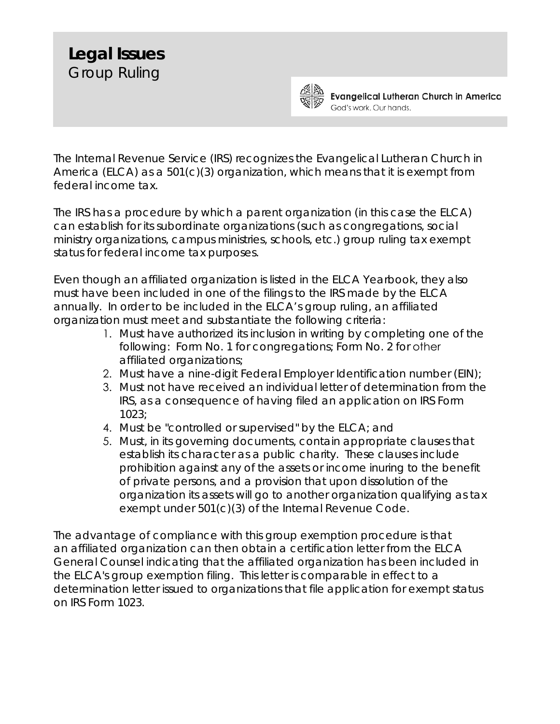## **Legal Issues** Group Ruling



**Evangelical Lutheran Church in America** God's work. Our hands.

The Internal Revenue Service (IRS) recognizes the Evangelical Lutheran Church in America (ELCA) as a 501(c)(3) organization, which means that it is exempt from federal income tax.

The IRS has a procedure by which a parent organization (in this case the ELCA) can establish for its subordinate organizations (such as congregations, social ministry organizations, campus ministries, schools, etc.) group ruling tax exempt status for federal income tax purposes.

Even though an affiliated organization is listed in the ELCA Yearbook, they also must have been included in one of the filings to the IRS made by the ELCA annually. In order to be included in the ELCA's group ruling, an affiliated organization must meet and substantiate the following criteria:

- 1. Must have authorized its inclusion in writing by completing one of the following: Form No. 1 for congregations; Form No. 2 for other affiliated organizations;
- 2. Must have a nine-digit Federal Employer Identification number (EIN);
- 3. Must not have received an individual letter of determination from the IRS, as a consequence of having filed an application on IRS Form 1023;
- 4. Must be "controlled or supervised" by the ELCA; and
- 5. Must, in its governing documents, contain appropriate clauses that establish its character as a public charity. These clauses include prohibition against any of the assets or income inuring to the benefit of private persons, and a provision that upon dissolution of the organization its assets will go to another organization qualifying as tax exempt under 501(c)(3) of the Internal Revenue Code.

The advantage of compliance with this group exemption procedure is that an affiliated organization can then obtain a certification letter from the ELCA General Counsel indicating that the affiliated organization has been included in the ELCA's group exemption filing. This letter is comparable in effect to a determination letter issued to organizations that file application for exempt status on IRS Form 1023.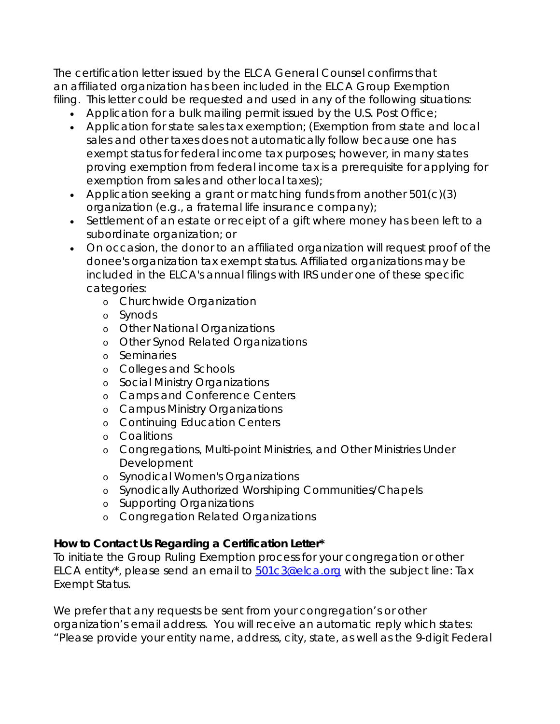The certification letter issued by the ELCA General Counsel confirms that an affiliated organization has been included in the ELCA Group Exemption filing. This letter could be requested and used in any of the following situations:

- Application for a bulk mailing permit issued by the U.S. Post Office;
- Application for state sales tax exemption; (Exemption from state and local sales and other taxes does not automatically follow because one has exempt status for federal income tax purposes; however, in many states proving exemption from federal income tax is a prerequisite for applying for exemption from sales and other local taxes);
- Application seeking a grant or matching funds from another 501(c)(3) organization (e.g., a fraternal life insurance company);
- Settlement of an estate or receipt of a gift where money has been left to a subordinate organization; or
- On occasion, the donor to an affiliated organization will request proof of the donee's organization tax exempt status. Affiliated organizations may be included in the ELCA's annual filings with IRS under one of these specific categories:
	- o Churchwide Organization
	- o Synods
	- o Other National Organizations
	- o Other Synod Related Organizations
	- o Seminaries
	- o Colleges and Schools
	- o Social Ministry Organizations
	- o Camps and Conference Centers
	- o Campus Ministry Organizations
	- o Continuing Education Centers
	- o Coalitions
	- o Congregations, Multi-point Ministries, and Other Ministries Under Development
	- o Synodical Women's Organizations
	- o Synodically Authorized Worshiping Communities/Chapels
	- o Supporting Organizations
	- o Congregation Related Organizations

## **How to Contact Us Regarding a Certification Letter\***

To initiate the Group Ruling Exemption process for your congregation or other ELCA entity\*, please send an email to [501c3@elca.org](mailto:501c3@elca.org) with the subject line: Tax Exempt Status.

We prefer that any requests be sent from your congregation's or other organization's email address. You will receive an automatic reply which states: "Please provide your entity name, address, city, state, as well as the 9-digit Federal